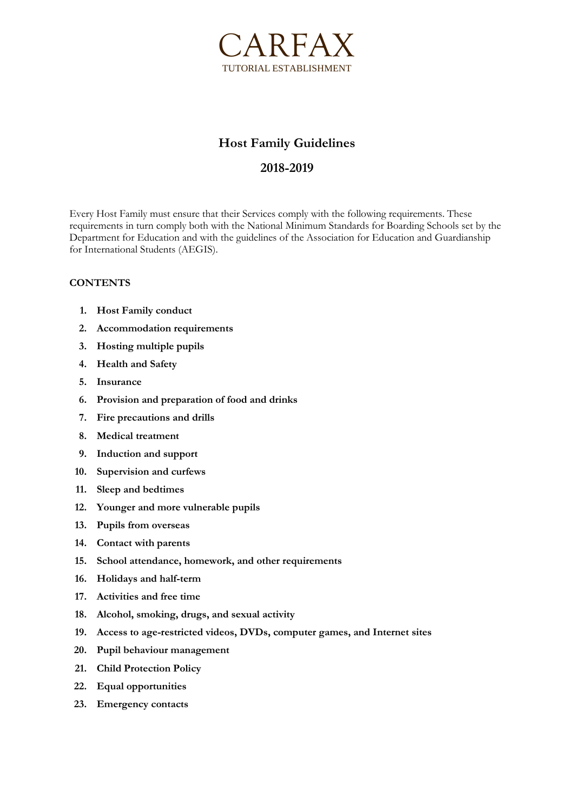

# **Host Family Guidelines**

## **2018-2019**

Every Host Family must ensure that their Services comply with the following requirements. These requirements in turn comply both with the National Minimum Standards for Boarding Schools set by the Department for Education and with the guidelines of the Association for Education and Guardianship for International Students (AEGIS).

#### **CONTENTS**

- **1. Host Family conduct**
- **2. Accommodation requirements**
- **3. Hosting multiple pupils**
- **4. Health and Safety**
- **5. Insurance**
- **6. Provision and preparation of food and drinks**
- **7. Fire precautions and drills**
- **8. Medical treatment**
- **9. Induction and support**
- **10. Supervision and curfews**
- **11. Sleep and bedtimes**
- **12. Younger and more vulnerable pupils**
- **13. Pupils from overseas**
- **14. Contact with parents**
- **15. School attendance, homework, and other requirements**
- **16. Holidays and half-term**
- **17. Activities and free time**
- **18. Alcohol, smoking, drugs, and sexual activity**
- **19. Access to age-restricted videos, DVDs, computer games, and Internet sites**
- **20. Pupil behaviour management**
- **21. Child Protection Policy**
- **22. Equal opportunities**
- **23. Emergency contacts**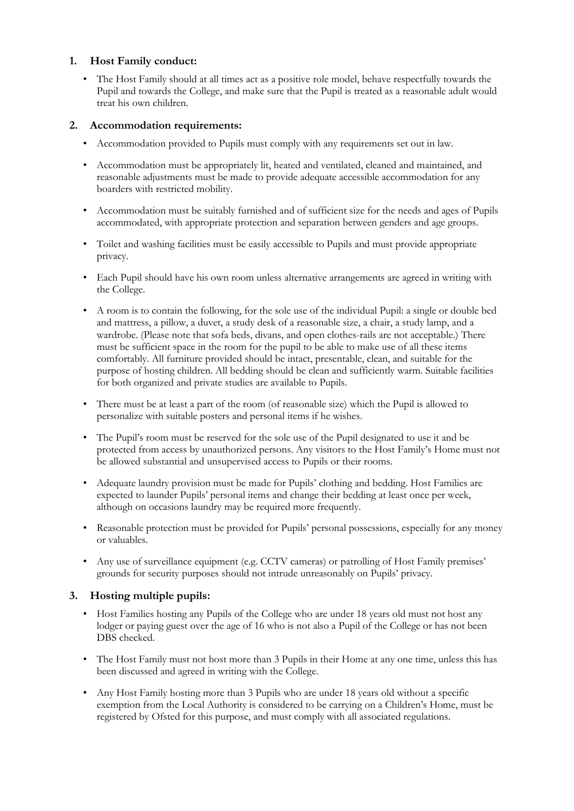#### **1. Host Family conduct:**

• The Host Family should at all times act as a positive role model, behave respectfully towards the Pupil and towards the College, and make sure that the Pupil is treated as a reasonable adult would treat his own children.

#### **2. Accommodation requirements:**

- Accommodation provided to Pupils must comply with any requirements set out in law.
- Accommodation must be appropriately lit, heated and ventilated, cleaned and maintained, and reasonable adjustments must be made to provide adequate accessible accommodation for any boarders with restricted mobility.
- Accommodation must be suitably furnished and of sufficient size for the needs and ages of Pupils accommodated, with appropriate protection and separation between genders and age groups.
- Toilet and washing facilities must be easily accessible to Pupils and must provide appropriate privacy.
- Each Pupil should have his own room unless alternative arrangements are agreed in writing with the College.
- A room is to contain the following, for the sole use of the individual Pupil: a single or double bed and mattress, a pillow, a duvet, a study desk of a reasonable size, a chair, a study lamp, and a wardrobe. (Please note that sofa beds, divans, and open clothes-rails are not acceptable.) There must be sufficient space in the room for the pupil to be able to make use of all these items comfortably. All furniture provided should be intact, presentable, clean, and suitable for the purpose of hosting children. All bedding should be clean and sufficiently warm. Suitable facilities for both organized and private studies are available to Pupils.
- There must be at least a part of the room (of reasonable size) which the Pupil is allowed to personalize with suitable posters and personal items if he wishes.
- The Pupil's room must be reserved for the sole use of the Pupil designated to use it and be protected from access by unauthorized persons. Any visitors to the Host Family's Home must not be allowed substantial and unsupervised access to Pupils or their rooms.
- Adequate laundry provision must be made for Pupils' clothing and bedding. Host Families are expected to launder Pupils' personal items and change their bedding at least once per week, although on occasions laundry may be required more frequently.
- Reasonable protection must be provided for Pupils' personal possessions, especially for any money or valuables.
- Any use of surveillance equipment (e.g. CCTV cameras) or patrolling of Host Family premises' grounds for security purposes should not intrude unreasonably on Pupils' privacy.

#### **3. Hosting multiple pupils:**

- Host Families hosting any Pupils of the College who are under 18 years old must not host any lodger or paying guest over the age of 16 who is not also a Pupil of the College or has not been DBS checked.
- The Host Family must not host more than 3 Pupils in their Home at any one time, unless this has been discussed and agreed in writing with the College.
- Any Host Family hosting more than 3 Pupils who are under 18 years old without a specific exemption from the Local Authority is considered to be carrying on a Children's Home, must be registered by Ofsted for this purpose, and must comply with all associated regulations.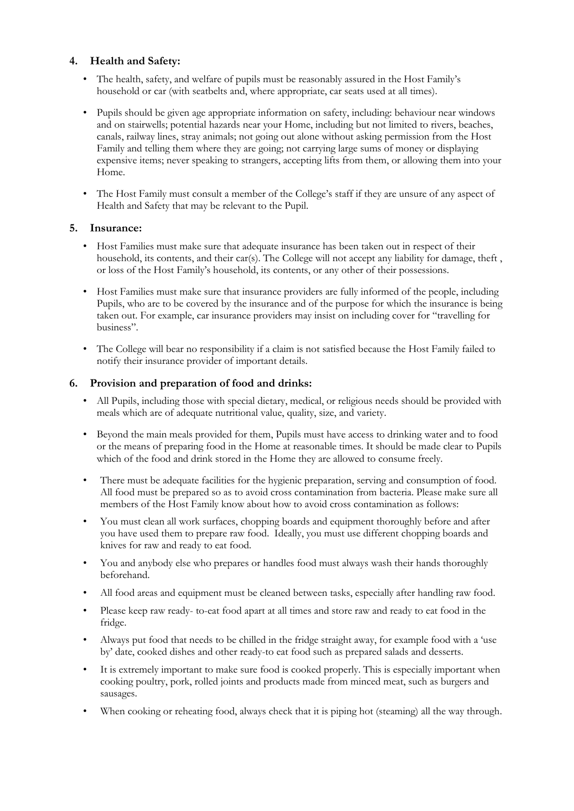### **4. Health and Safety:**

- The health, safety, and welfare of pupils must be reasonably assured in the Host Family's household or car (with seatbelts and, where appropriate, car seats used at all times).
- Pupils should be given age appropriate information on safety, including: behaviour near windows and on stairwells; potential hazards near your Home, including but not limited to rivers, beaches, canals, railway lines, stray animals; not going out alone without asking permission from the Host Family and telling them where they are going; not carrying large sums of money or displaying expensive items; never speaking to strangers, accepting lifts from them, or allowing them into your Home.
- The Host Family must consult a member of the College's staff if they are unsure of any aspect of Health and Safety that may be relevant to the Pupil.

## **5. Insurance:**

- Host Families must make sure that adequate insurance has been taken out in respect of their household, its contents, and their car(s). The College will not accept any liability for damage, theft, or loss of the Host Family's household, its contents, or any other of their possessions.
- Host Families must make sure that insurance providers are fully informed of the people, including Pupils, who are to be covered by the insurance and of the purpose for which the insurance is being taken out. For example, car insurance providers may insist on including cover for "travelling for business".
- The College will bear no responsibility if a claim is not satisfied because the Host Family failed to notify their insurance provider of important details.

#### **6. Provision and preparation of food and drinks:**

- All Pupils, including those with special dietary, medical, or religious needs should be provided with meals which are of adequate nutritional value, quality, size, and variety.
- Beyond the main meals provided for them, Pupils must have access to drinking water and to food or the means of preparing food in the Home at reasonable times. It should be made clear to Pupils which of the food and drink stored in the Home they are allowed to consume freely.
- There must be adequate facilities for the hygienic preparation, serving and consumption of food. All food must be prepared so as to avoid cross contamination from bacteria. Please make sure all members of the Host Family know about how to avoid cross contamination as follows:
- You must clean all work surfaces, chopping boards and equipment thoroughly before and after you have used them to prepare raw food. Ideally, you must use different chopping boards and knives for raw and ready to eat food.
- You and anybody else who prepares or handles food must always wash their hands thoroughly beforehand.
- All food areas and equipment must be cleaned between tasks, especially after handling raw food.
- Please keep raw ready- to-eat food apart at all times and store raw and ready to eat food in the fridge.
- Always put food that needs to be chilled in the fridge straight away, for example food with a 'use by' date, cooked dishes and other ready-to eat food such as prepared salads and desserts.
- It is extremely important to make sure food is cooked properly. This is especially important when cooking poultry, pork, rolled joints and products made from minced meat, such as burgers and sausages.
- When cooking or reheating food, always check that it is piping hot (steaming) all the way through.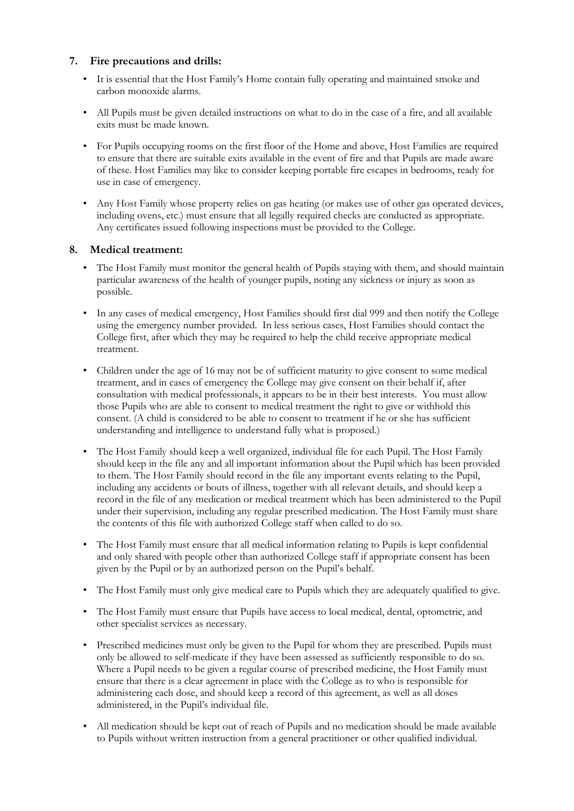#### **7. Fire precautions and drills:**

- It is essential that the Host Family's Home contain fully operating and maintained smoke and carbon monoxide alarms.
- All Pupils must be given detailed instructions on what to do in the case of a fire, and all available exits must be made known.
- For Pupils occupying rooms on the first floor of the Home and above, Host Families are required to ensure that there are suitable exits available in the event of fire and that Pupils are made aware of these. Host Families may like to consider keeping portable fire escapes in bedrooms, ready for use in case of emergency.
- Any Host Family whose property relies on gas heating (or makes use of other gas operated devices, including ovens, etc.) must ensure that all legally required checks are conducted as appropriate. Any certificates issued following inspections must be provided to the College.

## **8. Medical treatment:**

- The Host Family must monitor the general health of Pupils staying with them, and should maintain particular awareness of the health of younger pupils, noting any sickness or injury as soon as possible.
- In any cases of medical emergency, Host Families should first dial 999 and then notify the College using the emergency number provided. In less serious cases, Host Families should contact the College first, after which they may be required to help the child receive appropriate medical treatment.
- Children under the age of 16 may not be of sufficient maturity to give consent to some medical treatment, and in cases of emergency the College may give consent on their behalf if, after consultation with medical professionals, it appears to be in their best interests. You must allow those Pupils who are able to consent to medical treatment the right to give or withhold this consent. (A child is considered to be able to consent to treatment if he or she has sufficient understanding and intelligence to understand fully what is proposed.)
- The Host Family should keep a well organized, individual file for each Pupil. The Host Family should keep in the file any and all important information about the Pupil which has been provided to them. The Host Family should record in the file any important events relating to the Pupil, including any accidents or bouts of illness, together with all relevant details, and should keep a record in the file of any medication or medical treatment which has been administered to the Pupil under their supervision, including any regular prescribed medication. The Host Family must share the contents of this file with authorized College staff when called to do so.
- The Host Family must ensure that all medical information relating to Pupils is kept confidential and only shared with people other than authorized College staff if appropriate consent has been given by the Pupil or by an authorized person on the Pupil's behalf.
- The Host Family must only give medical care to Pupils which they are adequately qualified to give.
- The Host Family must ensure that Pupils have access to local medical, dental, optometric, and other specialist services as necessary.
- Prescribed medicines must only be given to the Pupil for whom they are prescribed. Pupils must only be allowed to self-medicate if they have been assessed as sufficiently responsible to do so. Where a Pupil needs to be given a regular course of prescribed medicine, the Host Family must ensure that there is a clear agreement in place with the College as to who is responsible for administering each dose, and should keep a record of this agreement, as well as all doses administered, in the Pupil's individual file.
- All medication should be kept out of reach of Pupils and no medication should be made available to Pupils without written instruction from a general practitioner or other qualified individual.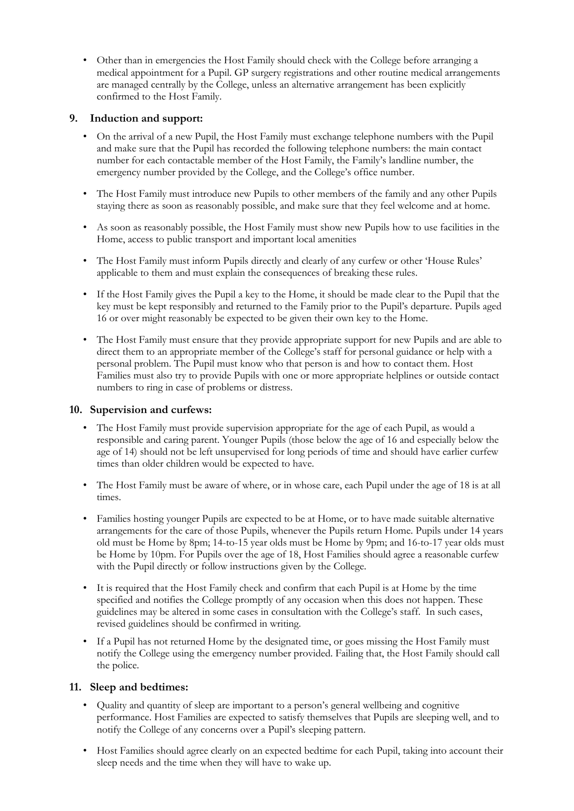• Other than in emergencies the Host Family should check with the College before arranging a medical appointment for a Pupil. GP surgery registrations and other routine medical arrangements are managed centrally by the College, unless an alternative arrangement has been explicitly confirmed to the Host Family.

#### **9. Induction and support:**

- On the arrival of a new Pupil, the Host Family must exchange telephone numbers with the Pupil and make sure that the Pupil has recorded the following telephone numbers: the main contact number for each contactable member of the Host Family, the Family's landline number, the emergency number provided by the College, and the College's office number.
- The Host Family must introduce new Pupils to other members of the family and any other Pupils staying there as soon as reasonably possible, and make sure that they feel welcome and at home.
- As soon as reasonably possible, the Host Family must show new Pupils how to use facilities in the Home, access to public transport and important local amenities
- The Host Family must inform Pupils directly and clearly of any curfew or other 'House Rules' applicable to them and must explain the consequences of breaking these rules.
- If the Host Family gives the Pupil a key to the Home, it should be made clear to the Pupil that the key must be kept responsibly and returned to the Family prior to the Pupil's departure. Pupils aged 16 or over might reasonably be expected to be given their own key to the Home.
- The Host Family must ensure that they provide appropriate support for new Pupils and are able to direct them to an appropriate member of the College's staff for personal guidance or help with a personal problem. The Pupil must know who that person is and how to contact them. Host Families must also try to provide Pupils with one or more appropriate helplines or outside contact numbers to ring in case of problems or distress.

#### **10. Supervision and curfews:**

- The Host Family must provide supervision appropriate for the age of each Pupil, as would a responsible and caring parent. Younger Pupils (those below the age of 16 and especially below the age of 14) should not be left unsupervised for long periods of time and should have earlier curfew times than older children would be expected to have.
- The Host Family must be aware of where, or in whose care, each Pupil under the age of 18 is at all times.
- Families hosting younger Pupils are expected to be at Home, or to have made suitable alternative arrangements for the care of those Pupils, whenever the Pupils return Home. Pupils under 14 years old must be Home by 8pm; 14-to-15 year olds must be Home by 9pm; and 16-to-17 year olds must be Home by 10pm. For Pupils over the age of 18, Host Families should agree a reasonable curfew with the Pupil directly or follow instructions given by the College.
- It is required that the Host Family check and confirm that each Pupil is at Home by the time specified and notifies the College promptly of any occasion when this does not happen. These guidelines may be altered in some cases in consultation with the College's staff. In such cases, revised guidelines should be confirmed in writing.
- If a Pupil has not returned Home by the designated time, or goes missing the Host Family must notify the College using the emergency number provided. Failing that, the Host Family should call the police.

#### **11. Sleep and bedtimes:**

- Quality and quantity of sleep are important to a person's general wellbeing and cognitive performance. Host Families are expected to satisfy themselves that Pupils are sleeping well, and to notify the College of any concerns over a Pupil's sleeping pattern.
- Host Families should agree clearly on an expected bedtime for each Pupil, taking into account their sleep needs and the time when they will have to wake up.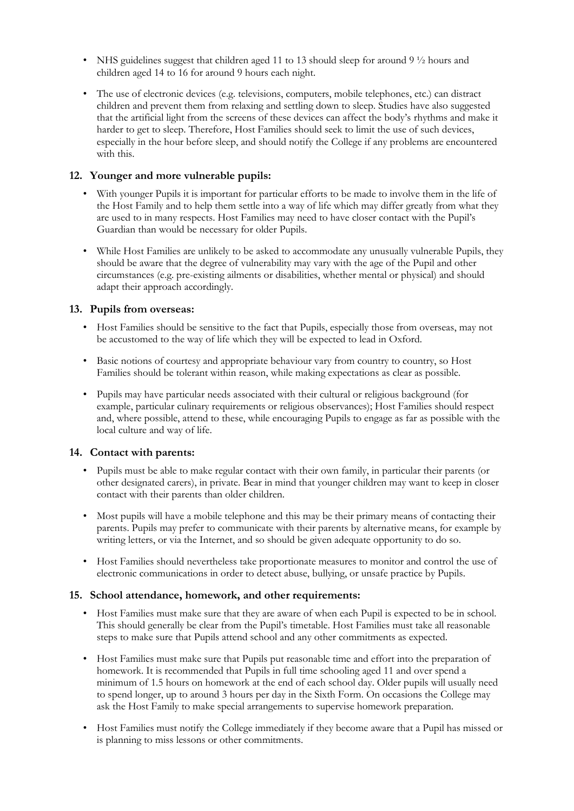- NHS guidelines suggest that children aged 11 to 13 should sleep for around 9  $\frac{1}{2}$  hours and children aged 14 to 16 for around 9 hours each night.
- The use of electronic devices (e.g. televisions, computers, mobile telephones, etc.) can distract children and prevent them from relaxing and settling down to sleep. Studies have also suggested that the artificial light from the screens of these devices can affect the body's rhythms and make it harder to get to sleep. Therefore, Host Families should seek to limit the use of such devices, especially in the hour before sleep, and should notify the College if any problems are encountered with this.

#### **12. Younger and more vulnerable pupils:**

- With younger Pupils it is important for particular efforts to be made to involve them in the life of the Host Family and to help them settle into a way of life which may differ greatly from what they are used to in many respects. Host Families may need to have closer contact with the Pupil's Guardian than would be necessary for older Pupils.
- While Host Families are unlikely to be asked to accommodate any unusually vulnerable Pupils, they should be aware that the degree of vulnerability may vary with the age of the Pupil and other circumstances (e.g. pre-existing ailments or disabilities, whether mental or physical) and should adapt their approach accordingly.

#### **13. Pupils from overseas:**

- Host Families should be sensitive to the fact that Pupils, especially those from overseas, may not be accustomed to the way of life which they will be expected to lead in Oxford.
- Basic notions of courtesy and appropriate behaviour vary from country to country, so Host Families should be tolerant within reason, while making expectations as clear as possible.
- Pupils may have particular needs associated with their cultural or religious background (for example, particular culinary requirements or religious observances); Host Families should respect and, where possible, attend to these, while encouraging Pupils to engage as far as possible with the local culture and way of life.

#### **14. Contact with parents:**

- Pupils must be able to make regular contact with their own family, in particular their parents (or other designated carers), in private. Bear in mind that younger children may want to keep in closer contact with their parents than older children.
- Most pupils will have a mobile telephone and this may be their primary means of contacting their parents. Pupils may prefer to communicate with their parents by alternative means, for example by writing letters, or via the Internet, and so should be given adequate opportunity to do so.
- Host Families should nevertheless take proportionate measures to monitor and control the use of electronic communications in order to detect abuse, bullying, or unsafe practice by Pupils.

#### **15. School attendance, homework, and other requirements:**

- Host Families must make sure that they are aware of when each Pupil is expected to be in school. This should generally be clear from the Pupil's timetable. Host Families must take all reasonable steps to make sure that Pupils attend school and any other commitments as expected.
- Host Families must make sure that Pupils put reasonable time and effort into the preparation of homework. It is recommended that Pupils in full time schooling aged 11 and over spend a minimum of 1.5 hours on homework at the end of each school day. Older pupils will usually need to spend longer, up to around 3 hours per day in the Sixth Form. On occasions the College may ask the Host Family to make special arrangements to supervise homework preparation.
- Host Families must notify the College immediately if they become aware that a Pupil has missed or is planning to miss lessons or other commitments.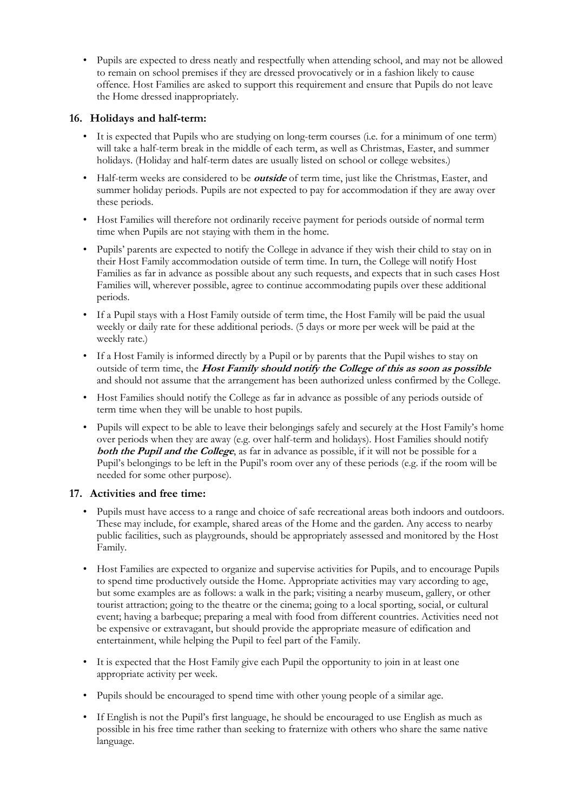• Pupils are expected to dress neatly and respectfully when attending school, and may not be allowed to remain on school premises if they are dressed provocatively or in a fashion likely to cause offence. Host Families are asked to support this requirement and ensure that Pupils do not leave the Home dressed inappropriately.

## **16. Holidays and half-term:**

- It is expected that Pupils who are studying on long-term courses (i.e. for a minimum of one term) will take a half-term break in the middle of each term, as well as Christmas, Easter, and summer holidays. (Holiday and half-term dates are usually listed on school or college websites.)
- Half-term weeks are considered to be **outside** of term time, just like the Christmas, Easter, and summer holiday periods. Pupils are not expected to pay for accommodation if they are away over these periods.
- Host Families will therefore not ordinarily receive payment for periods outside of normal term time when Pupils are not staying with them in the home.
- Pupils' parents are expected to notify the College in advance if they wish their child to stay on in their Host Family accommodation outside of term time. In turn, the College will notify Host Families as far in advance as possible about any such requests, and expects that in such cases Host Families will, wherever possible, agree to continue accommodating pupils over these additional periods.
- If a Pupil stays with a Host Family outside of term time, the Host Family will be paid the usual weekly or daily rate for these additional periods. (5 days or more per week will be paid at the weekly rate.)
- If a Host Family is informed directly by a Pupil or by parents that the Pupil wishes to stay on outside of term time, the **Host Family should notify the College of this as soon as possible** and should not assume that the arrangement has been authorized unless confirmed by the College.
- Host Families should notify the College as far in advance as possible of any periods outside of term time when they will be unable to host pupils.
- Pupils will expect to be able to leave their belongings safely and securely at the Host Family's home over periods when they are away (e.g. over half-term and holidays). Host Families should notify **both the Pupil and the College**, as far in advance as possible, if it will not be possible for a Pupil's belongings to be left in the Pupil's room over any of these periods (e.g. if the room will be needed for some other purpose).

#### **17. Activities and free time:**

- Pupils must have access to a range and choice of safe recreational areas both indoors and outdoors. These may include, for example, shared areas of the Home and the garden. Any access to nearby public facilities, such as playgrounds, should be appropriately assessed and monitored by the Host Family.
- Host Families are expected to organize and supervise activities for Pupils, and to encourage Pupils to spend time productively outside the Home. Appropriate activities may vary according to age, but some examples are as follows: a walk in the park; visiting a nearby museum, gallery, or other tourist attraction; going to the theatre or the cinema; going to a local sporting, social, or cultural event; having a barbeque; preparing a meal with food from different countries. Activities need not be expensive or extravagant, but should provide the appropriate measure of edification and entertainment, while helping the Pupil to feel part of the Family.
- It is expected that the Host Family give each Pupil the opportunity to join in at least one appropriate activity per week.
- Pupils should be encouraged to spend time with other young people of a similar age.
- If English is not the Pupil's first language, he should be encouraged to use English as much as possible in his free time rather than seeking to fraternize with others who share the same native language.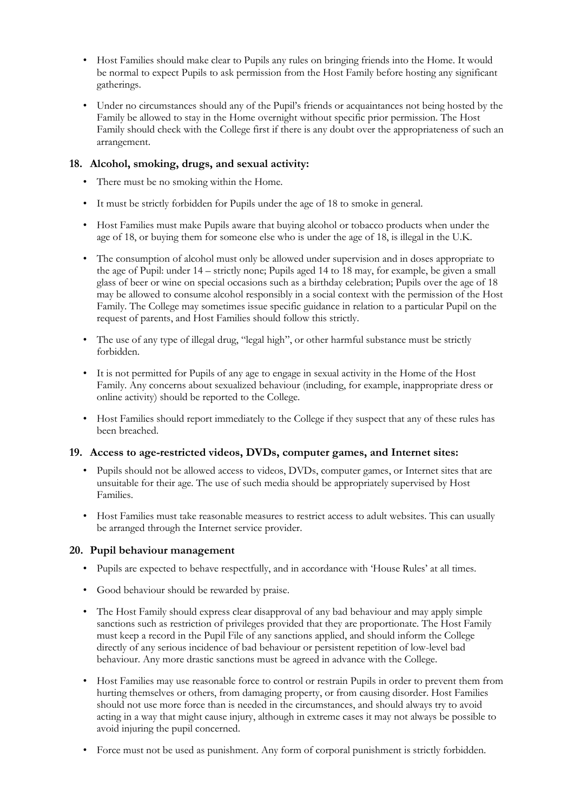- Host Families should make clear to Pupils any rules on bringing friends into the Home. It would be normal to expect Pupils to ask permission from the Host Family before hosting any significant gatherings.
- Under no circumstances should any of the Pupil's friends or acquaintances not being hosted by the Family be allowed to stay in the Home overnight without specific prior permission. The Host Family should check with the College first if there is any doubt over the appropriateness of such an arrangement.

#### **18. Alcohol, smoking, drugs, and sexual activity:**

- There must be no smoking within the Home.
- It must be strictly forbidden for Pupils under the age of 18 to smoke in general.
- Host Families must make Pupils aware that buying alcohol or tobacco products when under the age of 18, or buying them for someone else who is under the age of 18, is illegal in the U.K.
- The consumption of alcohol must only be allowed under supervision and in doses appropriate to the age of Pupil: under 14 – strictly none; Pupils aged 14 to 18 may, for example, be given a small glass of beer or wine on special occasions such as a birthday celebration; Pupils over the age of 18 may be allowed to consume alcohol responsibly in a social context with the permission of the Host Family. The College may sometimes issue specific guidance in relation to a particular Pupil on the request of parents, and Host Families should follow this strictly.
- The use of any type of illegal drug, "legal high", or other harmful substance must be strictly forbidden.
- It is not permitted for Pupils of any age to engage in sexual activity in the Home of the Host Family. Any concerns about sexualized behaviour (including, for example, inappropriate dress or online activity) should be reported to the College.
- Host Families should report immediately to the College if they suspect that any of these rules has been breached.

#### **19. Access to age-restricted videos, DVDs, computer games, and Internet sites:**

- Pupils should not be allowed access to videos, DVDs, computer games, or Internet sites that are unsuitable for their age. The use of such media should be appropriately supervised by Host Families.
- Host Families must take reasonable measures to restrict access to adult websites. This can usually be arranged through the Internet service provider.

#### **20. Pupil behaviour management**

- Pupils are expected to behave respectfully, and in accordance with 'House Rules' at all times.
- Good behaviour should be rewarded by praise.
- The Host Family should express clear disapproval of any bad behaviour and may apply simple sanctions such as restriction of privileges provided that they are proportionate. The Host Family must keep a record in the Pupil File of any sanctions applied, and should inform the College directly of any serious incidence of bad behaviour or persistent repetition of low-level bad behaviour. Any more drastic sanctions must be agreed in advance with the College.
- Host Families may use reasonable force to control or restrain Pupils in order to prevent them from hurting themselves or others, from damaging property, or from causing disorder. Host Families should not use more force than is needed in the circumstances, and should always try to avoid acting in a way that might cause injury, although in extreme cases it may not always be possible to avoid injuring the pupil concerned.
- Force must not be used as punishment. Any form of corporal punishment is strictly forbidden.